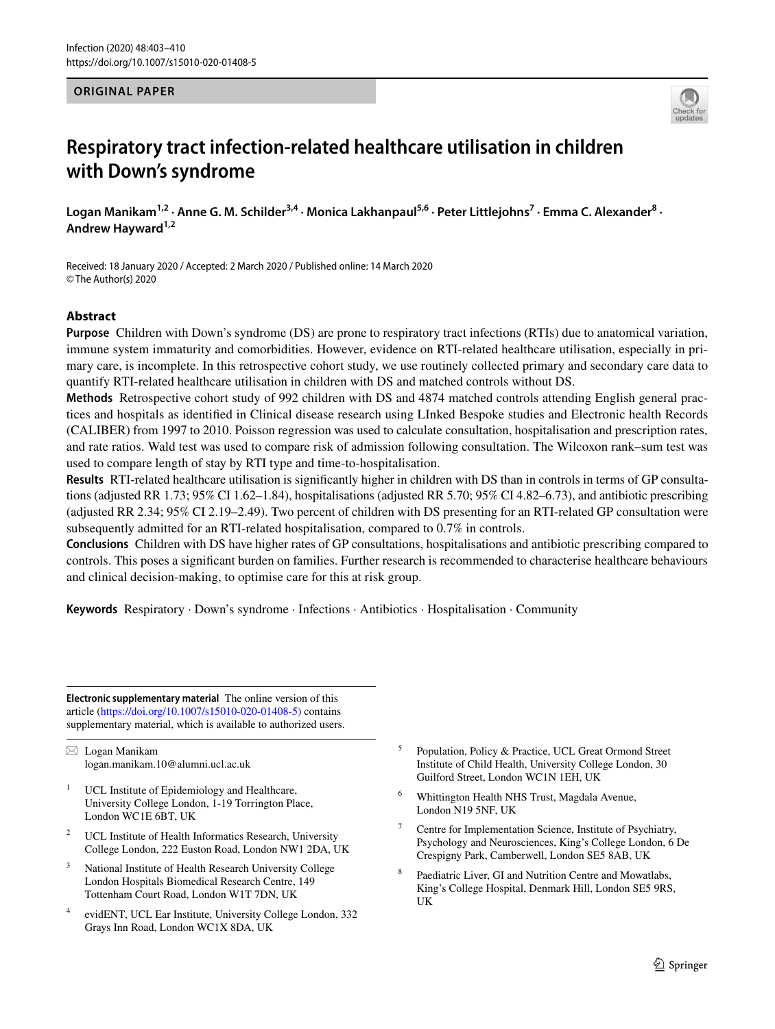## **ORIGINAL PAPER**



# **Respiratory tract infection‑related healthcare utilisation in children with Down's syndrome**

Logan Manikam<sup>1,2</sup> · Anne G. M. Schilder<sup>3,4</sup> · Monica Lakhanpaul<sup>5,6</sup> · Peter Littlejohns<sup>7</sup> · Emma C. Alexander<sup>8</sup> · Andrew Hayward<sup>1,2</sup>

Received: 18 January 2020 / Accepted: 2 March 2020 / Published online: 14 March 2020 © The Author(s) 2020

# **Abstract**

**Purpose** Children with Down's syndrome (DS) are prone to respiratory tract infections (RTIs) due to anatomical variation, immune system immaturity and comorbidities. However, evidence on RTI-related healthcare utilisation, especially in primary care, is incomplete. In this retrospective cohort study, we use routinely collected primary and secondary care data to quantify RTI-related healthcare utilisation in children with DS and matched controls without DS.

**Methods** Retrospective cohort study of 992 children with DS and 4874 matched controls attending English general practices and hospitals as identifed in Clinical disease research using LInked Bespoke studies and Electronic health Records (CALIBER) from 1997 to 2010. Poisson regression was used to calculate consultation, hospitalisation and prescription rates, and rate ratios. Wald test was used to compare risk of admission following consultation. The Wilcoxon rank–sum test was used to compare length of stay by RTI type and time-to-hospitalisation.

**Results** RTI-related healthcare utilisation is signifcantly higher in children with DS than in controls in terms of GP consultations (adjusted RR 1.73; 95% CI 1.62–1.84), hospitalisations (adjusted RR 5.70; 95% CI 4.82–6.73), and antibiotic prescribing (adjusted RR 2.34; 95% CI 2.19–2.49). Two percent of children with DS presenting for an RTI-related GP consultation were subsequently admitted for an RTI-related hospitalisation, compared to 0.7% in controls.

**Conclusions** Children with DS have higher rates of GP consultations, hospitalisations and antibiotic prescribing compared to controls. This poses a signifcant burden on families. Further research is recommended to characterise healthcare behaviours and clinical decision-making, to optimise care for this at risk group.

**Keywords** Respiratory · Down's syndrome · Infections · Antibiotics · Hospitalisation · Community

**Electronic supplementary material** The online version of this article [\(https://doi.org/10.1007/s15010-020-01408-5\)](https://doi.org/10.1007/s15010-020-01408-5) contains supplementary material, which is available to authorized users.

 $\boxtimes$  Logan Manikam logan.manikam.10@alumni.ucl.ac.uk

- UCL Institute of Epidemiology and Healthcare, University College London, 1-19 Torrington Place, London WC1E 6BT, UK
- <sup>2</sup> UCL Institute of Health Informatics Research, University College London, 222 Euston Road, London NW1 2DA, UK
- <sup>3</sup> National Institute of Health Research University College London Hospitals Biomedical Research Centre, 149 Tottenham Court Road, London W1T 7DN, UK
- evidENT, UCL Ear Institute, University College London, 332 Grays Inn Road, London WC1X 8DA, UK
- <sup>5</sup> Population, Policy & Practice, UCL Great Ormond Street Institute of Child Health, University College London, 30 Guilford Street, London WC1N 1EH, UK
- <sup>6</sup> Whittington Health NHS Trust, Magdala Avenue, London N19 5NF, UK
- Centre for Implementation Science, Institute of Psychiatry, Psychology and Neurosciences, King's College London, 6 De Crespigny Park, Camberwell, London SE5 8AB, UK
- Paediatric Liver, GI and Nutrition Centre and Mowatlabs, King's College Hospital, Denmark Hill, London SE5 9RS, UK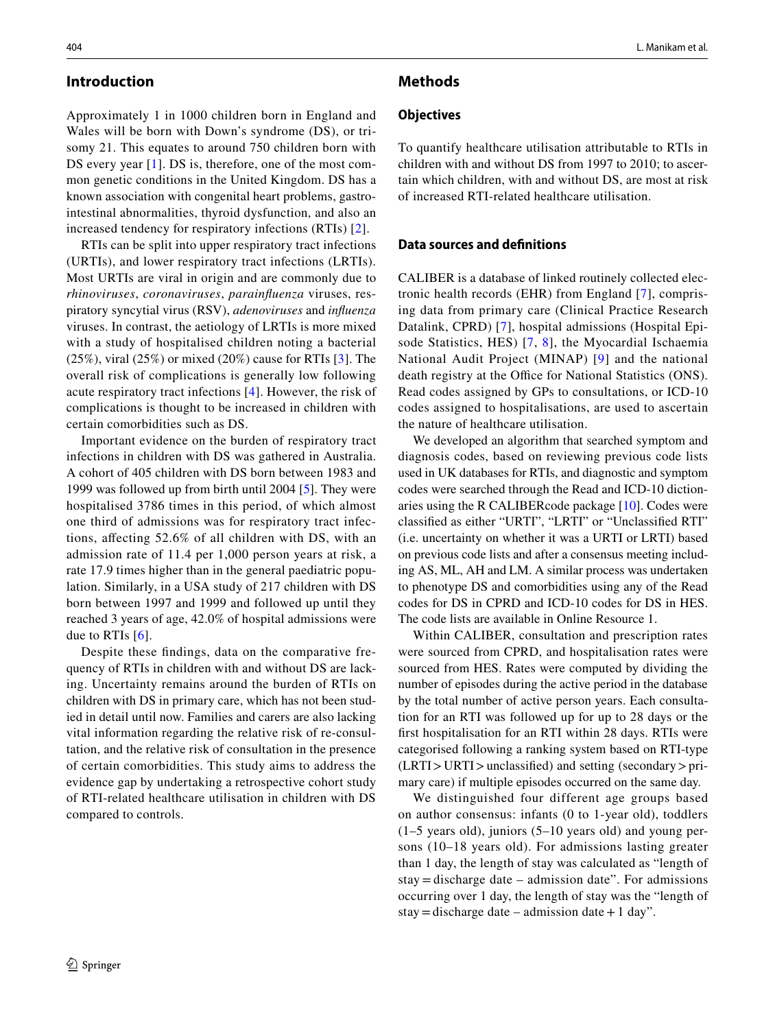Approximately 1 in 1000 children born in England and Wales will be born with Down's syndrome (DS), or trisomy 21. This equates to around 750 children born with DS every year [[1](#page-7-0)]. DS is, therefore, one of the most common genetic conditions in the United Kingdom. DS has a known association with congenital heart problems, gastrointestinal abnormalities, thyroid dysfunction, and also an increased tendency for respiratory infections (RTIs) [[2](#page-7-1)].

RTIs can be split into upper respiratory tract infections (URTIs), and lower respiratory tract infections (LRTIs). Most URTIs are viral in origin and are commonly due to *rhinoviruses*, *coronaviruses*, *parainfuenza* viruses, respiratory syncytial virus (RSV), *adenoviruses* and *infuenza* viruses. In contrast, the aetiology of LRTIs is more mixed with a study of hospitalised children noting a bacterial  $(25\%)$ , viral  $(25\%)$  or mixed  $(20\%)$  cause for RTIs [[3\]](#page-7-2). The overall risk of complications is generally low following acute respiratory tract infections [\[4](#page-7-3)]. However, the risk of complications is thought to be increased in children with certain comorbidities such as DS.

Important evidence on the burden of respiratory tract infections in children with DS was gathered in Australia. A cohort of 405 children with DS born between 1983 and 1999 was followed up from birth until 2004 [\[5](#page-7-4)]. They were hospitalised 3786 times in this period, of which almost one third of admissions was for respiratory tract infections, afecting 52.6% of all children with DS, with an admission rate of 11.4 per 1,000 person years at risk, a rate 17.9 times higher than in the general paediatric population. Similarly, in a USA study of 217 children with DS born between 1997 and 1999 and followed up until they reached 3 years of age, 42.0% of hospital admissions were due to RTIs [[6](#page-7-5)].

Despite these fndings, data on the comparative frequency of RTIs in children with and without DS are lacking. Uncertainty remains around the burden of RTIs on children with DS in primary care, which has not been studied in detail until now. Families and carers are also lacking vital information regarding the relative risk of re-consultation, and the relative risk of consultation in the presence of certain comorbidities. This study aims to address the evidence gap by undertaking a retrospective cohort study of RTI-related healthcare utilisation in children with DS compared to controls.

## **Methods**

## **Objectives**

To quantify healthcare utilisation attributable to RTIs in children with and without DS from 1997 to 2010; to ascertain which children, with and without DS, are most at risk of increased RTI-related healthcare utilisation.

#### **Data sources and defnitions**

CALIBER is a database of linked routinely collected electronic health records (EHR) from England [\[7\]](#page-7-6), comprising data from primary care (Clinical Practice Research Datalink, CPRD) [[7\]](#page-7-6), hospital admissions (Hospital Episode Statistics, HES) [[7,](#page-7-6) [8](#page-7-7)], the Myocardial Ischaemia National Audit Project (MINAP) [[9](#page-7-8)] and the national death registry at the Office for National Statistics (ONS). Read codes assigned by GPs to consultations, or ICD-10 codes assigned to hospitalisations, are used to ascertain the nature of healthcare utilisation.

We developed an algorithm that searched symptom and diagnosis codes, based on reviewing previous code lists used in UK databases for RTIs, and diagnostic and symptom codes were searched through the Read and ICD-10 dictionaries using the R CALIBERcode package [[10](#page-7-9)]. Codes were classifed as either "URTI", "LRTI" or "Unclassifed RTI" (i.e. uncertainty on whether it was a URTI or LRTI) based on previous code lists and after a consensus meeting including AS, ML, AH and LM. A similar process was undertaken to phenotype DS and comorbidities using any of the Read codes for DS in CPRD and ICD-10 codes for DS in HES. The code lists are available in Online Resource 1.

Within CALIBER, consultation and prescription rates were sourced from CPRD, and hospitalisation rates were sourced from HES. Rates were computed by dividing the number of episodes during the active period in the database by the total number of active person years. Each consultation for an RTI was followed up for up to 28 days or the frst hospitalisation for an RTI within 28 days. RTIs were categorised following a ranking system based on RTI-type (LRTI>URTI>unclassifed) and setting (secondary>primary care) if multiple episodes occurred on the same day.

We distinguished four different age groups based on author consensus: infants (0 to 1-year old), toddlers (1–5 years old), juniors (5–10 years old) and young persons (10–18 years old). For admissions lasting greater than 1 day, the length of stay was calculated as "length of stay = discharge date – admission date". For admissions occurring over 1 day, the length of stay was the "length of stay = discharge date – admission date + 1 day".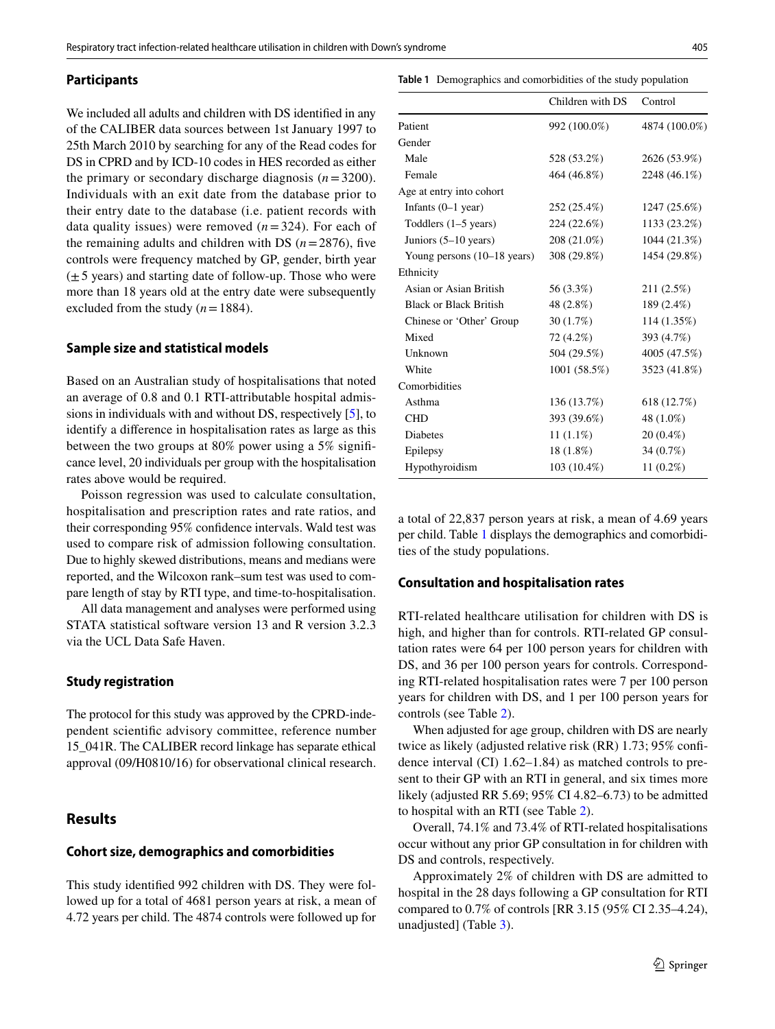#### **Participants**

<span id="page-2-0"></span>**Table 1** Demographics and comorbidities of the study population

We included all adults and children with DS identifed in any of the CALIBER data sources between 1st January 1997 to 25th March 2010 by searching for any of the Read codes for DS in CPRD and by ICD-10 codes in HES recorded as either the primary or secondary discharge diagnosis  $(n=3200)$ . Individuals with an exit date from the database prior to their entry date to the database (i.e. patient records with data quality issues) were removed  $(n=324)$ . For each of the remaining adults and children with DS  $(n=2876)$ , five controls were frequency matched by GP, gender, birth year  $(\pm 5$  years) and starting date of follow-up. Those who were more than 18 years old at the entry date were subsequently excluded from the study  $(n=1884)$ .

#### **Sample size and statistical models**

Based on an Australian study of hospitalisations that noted an average of 0.8 and 0.1 RTI-attributable hospital admissions in individuals with and without DS, respectively [[5](#page-7-4)], to identify a diference in hospitalisation rates as large as this between the two groups at 80% power using a 5% signifcance level, 20 individuals per group with the hospitalisation rates above would be required.

Poisson regression was used to calculate consultation, hospitalisation and prescription rates and rate ratios, and their corresponding 95% confdence intervals. Wald test was used to compare risk of admission following consultation. Due to highly skewed distributions, means and medians were reported, and the Wilcoxon rank–sum test was used to compare length of stay by RTI type, and time-to-hospitalisation.

All data management and analyses were performed using STATA statistical software version 13 and R version 3.2.3 via the UCL Data Safe Haven.

#### **Study registration**

The protocol for this study was approved by the CPRD-independent scientifc advisory committee, reference number 15\_041R. The CALIBER record linkage has separate ethical approval (09/H0810/16) for observational clinical research.

## **Results**

## **Cohort size, demographics and comorbidities**

This study identifed 992 children with DS. They were followed up for a total of 4681 person years at risk, a mean of 4.72 years per child. The 4874 controls were followed up for

|                                       | Children with DS | Control       |
|---------------------------------------|------------------|---------------|
| Patient                               | 992 (100.0%)     | 4874 (100.0%) |
| Gender                                |                  |               |
| Male                                  | 528 (53.2%)      | 2626 (53.9%)  |
| Female                                | 464 (46.8%)      | 2248 (46.1%)  |
| Age at entry into cohort              |                  |               |
| Infants $(0-1$ year)                  | 252 (25.4%)      | 1247 (25.6%)  |
| Toddlers $(1-5$ years)                | 224 (22.6%)      | 1133 (23.2%)  |
| Juniors $(5-10 \text{ years})$        | 208 (21.0%)      | 1044 (21.3%)  |
| Young persons $(10-18 \text{ years})$ | 308 (29.8%)      | 1454 (29.8%)  |
| Ethnicity                             |                  |               |
| Asian or Asian British                | 56 (3.3%)        | 211 (2.5%)    |
| <b>Black or Black British</b>         | 48 (2.8%)        | 189 (2.4%)    |
| Chinese or 'Other' Group              | 30 (1.7%)        | 114 (1.35%)   |
| Mixed                                 | 72 (4.2%)        | 393 (4.7%)    |
| Unknown                               | 504 (29.5%)      | 4005 (47.5%)  |
| White                                 | 1001 (58.5%)     | 3523 (41.8%)  |
| Comorbidities                         |                  |               |
| Asthma                                | 136 (13.7%)      | 618 (12.7%)   |
| <b>CHD</b>                            | 393 (39.6%)      | 48 (1.0%)     |
| <b>Diabetes</b>                       | $11(1.1\%)$      | $20(0.4\%)$   |
| Epilepsy                              | $18(1.8\%)$      | 34 (0.7%)     |
| Hypothyroidism                        | 103 (10.4%)      | $11(0.2\%)$   |

a total of 22,837 person years at risk, a mean of 4.69 years per child. Table [1](#page-2-0) displays the demographics and comorbidities of the study populations.

#### **Consultation and hospitalisation rates**

RTI-related healthcare utilisation for children with DS is high, and higher than for controls. RTI-related GP consultation rates were 64 per 100 person years for children with DS, and 36 per 100 person years for controls. Corresponding RTI-related hospitalisation rates were 7 per 100 person years for children with DS, and 1 per 100 person years for controls (see Table [2\)](#page-3-0).

When adjusted for age group, children with DS are nearly twice as likely (adjusted relative risk (RR) 1.73; 95% confdence interval (CI) 1.62–1.84) as matched controls to present to their GP with an RTI in general, and six times more likely (adjusted RR 5.69; 95% CI 4.82–6.73) to be admitted to hospital with an RTI (see Table [2\)](#page-3-0).

Overall, 74.1% and 73.4% of RTI-related hospitalisations occur without any prior GP consultation in for children with DS and controls, respectively.

Approximately 2% of children with DS are admitted to hospital in the 28 days following a GP consultation for RTI compared to 0.7% of controls [RR 3.15 (95% CI 2.35–4.24), unadjusted] (Table [3](#page-3-1)).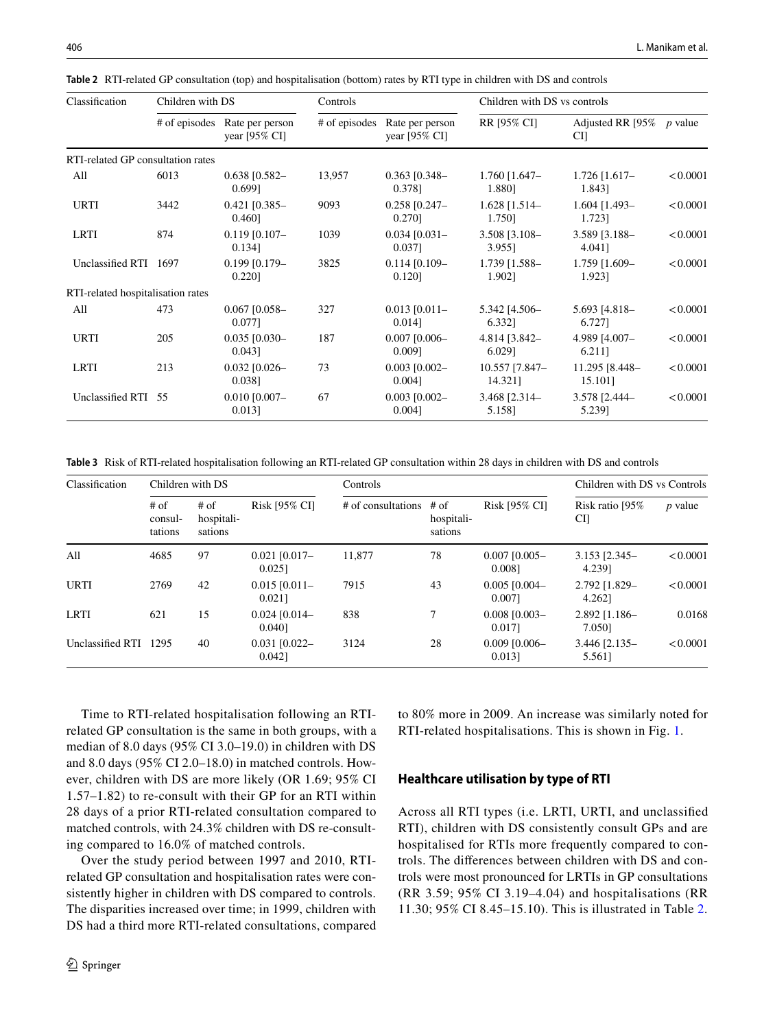<span id="page-3-0"></span>

| Table 2 RTI-related GP consultation (top) and hospitalisation (bottom) rates by RTI type in children with DS and controls |  |
|---------------------------------------------------------------------------------------------------------------------------|--|
|---------------------------------------------------------------------------------------------------------------------------|--|

| Classification                    | Children with DS |                                             | Controls |                                                           | Children with DS vs controls |                                   |          |
|-----------------------------------|------------------|---------------------------------------------|----------|-----------------------------------------------------------|------------------------------|-----------------------------------|----------|
|                                   | # of episodes    | Rate per person<br>year $[95\% \text{ CI}]$ |          | # of episodes Rate per person<br>year $[95\% \text{ CI}]$ | RR [95% CI]                  | Adjusted RR [95% $p$ value<br>CI] |          |
| RTI-related GP consultation rates |                  |                                             |          |                                                           |                              |                                   |          |
| All                               | 6013             | $0.638$ [0.582-<br>0.6991                   | 13,957   | $0.363$ [0.348-<br>0.3781                                 | $1.760$ [1.647-<br>1.880]    | $1.726$ [1.617-<br>1.843]         | < 0.0001 |
| <b>URTI</b>                       | 3442             | $0.421$ [0.385-<br>0.460]                   | 9093     | $0.258$ [0.247-<br>0.270]                                 | $1.628$ [1.514-<br>1.750]    | $1.604$ [1.493-<br>1.723]         | < 0.0001 |
| <b>LRTI</b>                       | 874              | $0.119$ [0.107-<br>0.1341                   | 1039     | $0.034$ $[0.031]$<br>$0.037$ ]                            | 3.508 [3.108-<br>3.955]      | 3.589 [3.188-<br>4.0411           | < 0.0001 |
| Unclassified RTI                  | 1697             | $0.199$ $[0.179 -$<br>0.220]                | 3825     | $0.114$ [0.109-<br>0.1201                                 | 1.739 [1.588-<br>1.9021      | 1.759 [1.609-<br>1.9231           | < 0.0001 |
| RTI-related hospitalisation rates |                  |                                             |          |                                                           |                              |                                   |          |
| All                               | 473              | $0.067$ [0.058-<br>0.0771                   | 327      | $0.013$ [0.011-<br>0.0141                                 | 5.342 [4.506-<br>6.332]      | 5.693 [4.818-<br>6.7271           | < 0.0001 |
| <b>URTI</b>                       | 205              | $0.035$ [0.030-<br>$0.043$ ]                | 187      | $0.007$ $[0.006 -$<br>$0.009$ ]                           | 4.814 [3.842-<br>6.029]      | 4.989 [4.007-<br>6.211]           | < 0.0001 |
| LRTI                              | 213              | $0.032$ [0.026-<br>0.0381                   | 73       | $0.003$ $[0.002 -$<br>$0.004$ ]                           | 10.557 [7.847-<br>14.321]    | 11.295 [8.448-<br>15.101]         | < 0.0001 |
| Unclassified RTI 55               |                  | $0.010$ [0.007-<br>$0.013$ ]                | 67       | $0.003$ [0.002-<br>0.0041                                 | 3.468 [2.314-<br>5.158]      | 3.578 [2.444-<br>5.2391           | < 0.0001 |

<span id="page-3-1"></span>**Table 3** Risk of RTI-related hospitalisation following an RTI-related GP consultation within 28 days in children with DS and controls

| Classification   | Children with DS             |                                 |                              | <b>Controls</b>           |                       |                              | Children with DS vs Controls |           |
|------------------|------------------------------|---------------------------------|------------------------------|---------------------------|-----------------------|------------------------------|------------------------------|-----------|
|                  | $#$ of<br>consul-<br>tations | $#$ of<br>hospitali-<br>sations | Risk [95% CI]                | # of consultations $#$ of | hospitali-<br>sations | Risk [95% CI]                | Risk ratio [95%<br>CI]       | $p$ value |
| All              | 4685                         | 97                              | $0.021$ [0.017-<br>0.0251    | 11.877                    | 78                    | $0.007$ $[0.005 -$<br>0.0081 | $3.153$ $[2.345 -$<br>4.2391 | < 0.0001  |
| <b>URTI</b>      | 2769                         | 42                              | $0.015$ [0.011-<br>0.0211    | 7915                      | 43                    | $0.005$ [0.004-<br>0.0071    | 2.792 [1.829-<br>4.2621      | < 0.0001  |
| LRTI             | 621                          | 15                              | $0.024$ [0.014-<br>0.0401    | 838                       | 7                     | $0.008$ $[0.003 -$<br>0.0171 | $2.892$ [1.186-<br>7.0501    | 0.0168    |
| Unclassified RTI | 1295                         | 40                              | $0.031$ $[0.022 -$<br>0.0421 | 3124                      | 28                    | $0.009$ $[0.006 -$<br>0.0131 | $3.446$ [2.135-<br>5.5611    | < 0.0001  |

Time to RTI-related hospitalisation following an RTIrelated GP consultation is the same in both groups, with a median of 8.0 days (95% CI 3.0–19.0) in children with DS and 8.0 days (95% CI 2.0–18.0) in matched controls. However, children with DS are more likely (OR 1.69; 95% CI 1.57–1.82) to re-consult with their GP for an RTI within 28 days of a prior RTI-related consultation compared to matched controls, with 24.3% children with DS re-consulting compared to 16.0% of matched controls.

Over the study period between 1997 and 2010, RTIrelated GP consultation and hospitalisation rates were consistently higher in children with DS compared to controls. The disparities increased over time; in 1999, children with DS had a third more RTI-related consultations, compared to 80% more in 2009. An increase was similarly noted for RTI-related hospitalisations. This is shown in Fig. [1.](#page-4-0)

## **Healthcare utilisation by type of RTI**

Across all RTI types (i.e. LRTI, URTI, and unclassifed RTI), children with DS consistently consult GPs and are hospitalised for RTIs more frequently compared to controls. The diferences between children with DS and controls were most pronounced for LRTIs in GP consultations (RR 3.59; 95% CI 3.19–4.04) and hospitalisations (RR 11.30; 95% CI 8.45–15.10). This is illustrated in Table [2](#page-3-0).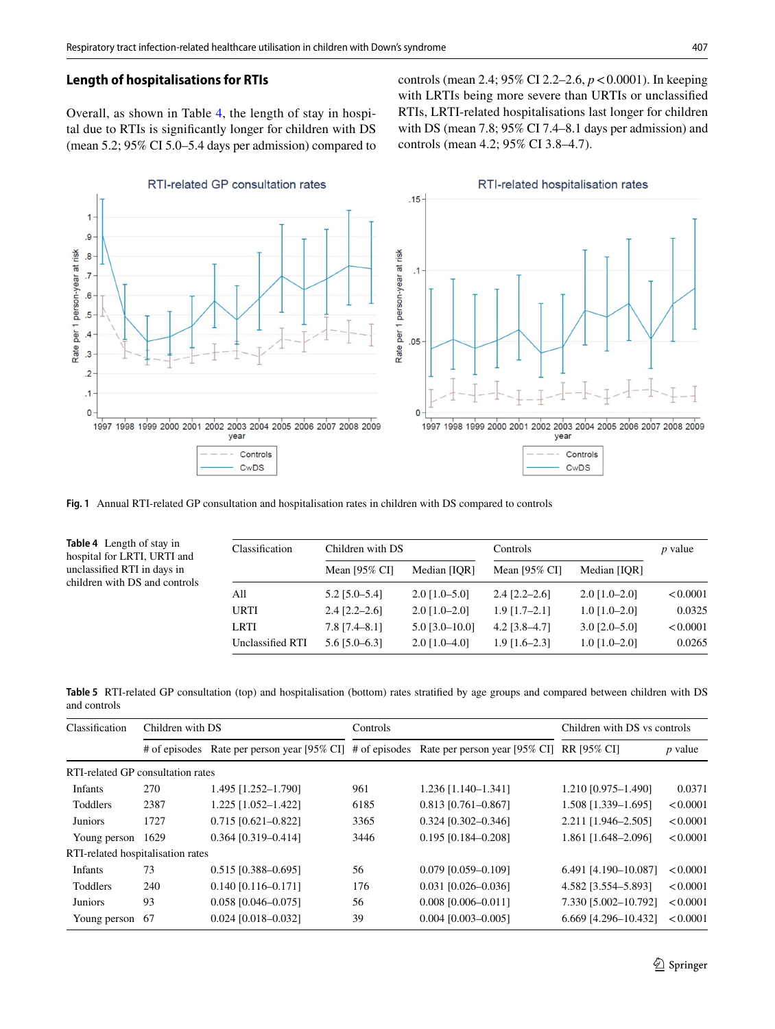# **Length of hospitalisations for RTIs**

Overall, as shown in Table [4,](#page-4-1) the length of stay in hospital due to RTIs is signifcantly longer for children with DS (mean 5.2; 95% CI 5.0–5.4 days per admission) compared to controls (mean 2.4; 95% CI 2.2–2.6, *p*<0.0001). In keeping with LRTIs being more severe than URTIs or unclassifed RTIs, LRTI-related hospitalisations last longer for children with DS (mean 7.8; 95% CI 7.4–8.1 days per admission) and controls (mean 4.2; 95% CI 3.8–4.7).



<span id="page-4-0"></span>**Fig. 1** Annual RTI-related GP consultation and hospitalisation rates in children with DS compared to controls

<span id="page-4-1"></span>

| <b>Table 4</b> Length of stay in<br>hospital for LRTI, URTI and<br>unclassified RTI in days in<br>children with DS and controls | Classification   | Children with DS |                  | Controls        |                 | $p$ value |
|---------------------------------------------------------------------------------------------------------------------------------|------------------|------------------|------------------|-----------------|-----------------|-----------|
|                                                                                                                                 |                  | Mean $[95%$ CI]  | Median [IOR]     | Mean $[95\%$ CI | Median [IOR]    |           |
|                                                                                                                                 | All              | $5.2$ [5.0-5.4]  | $2.0$ [1.0-5.0]  | $2.4$ [2.2–2.6] | $2.0$ [1.0–2.0] | < 0.0001  |
|                                                                                                                                 | <b>URTI</b>      | $2.4$ [2.2–2.6]  | $2.0$ [1.0–2.0]  | $1.9$ [1.7–2.1] | $1.0$ [1.0–2.0] | 0.0325    |
|                                                                                                                                 | <b>LRTI</b>      | $7.8$ [7.4–8.1]  | $5.0$ [3.0-10.0] | $4.2$ [3.8–4.7] | $3.0$ [2.0-5.0] | < 0.0001  |
|                                                                                                                                 | Unclassified RTI | $5.6$ [5.0–6.3]  | $2.0$ [1.0–4.0]  | $1.9$ [1.6–2.3] | $1.0$ [1.0–2.0] | 0.0265    |

<span id="page-4-2"></span>**Table 5** RTI-related GP consultation (top) and hospitalisation (bottom) rates stratifed by age groups and compared between children with DS and controls

| Classification                    | Children with DS |                       | Controls |                                                                           | Children with DS vs controls |                |
|-----------------------------------|------------------|-----------------------|----------|---------------------------------------------------------------------------|------------------------------|----------------|
| # of episodes                     |                  |                       |          | Rate per person year [95% CI] # of episodes Rate per person year [95% CI] | RR [95% CI]                  | <i>p</i> value |
| RTI-related GP consultation rates |                  |                       |          |                                                                           |                              |                |
| Infants                           | 270              | 1.495 [1.252-1.790]   | 961      | 1.236 [1.140-1.341]                                                       | 1.210 [0.975-1.490]          | 0.0371         |
| <b>Toddlers</b>                   | 2387             | 1.225 [1.052-1.422]   | 6185     | $0.813$ [0.761-0.867]                                                     | 1.508 [1.339-1.695]          | < 0.0001       |
| <b>Juniors</b>                    | 1727             | $0.715$ [0.621-0.822] | 3365     | $0.324$ [0.302-0.346]                                                     | 2.211 [1.946-2.505]          | < 0.0001       |
| Young person                      | 1629             | $0.364$ [0.319-0.414] | 3446     | $0.195$ [0.184-0.208]                                                     | 1.861 [1.648-2.096]          | < 0.0001       |
| RTI-related hospitalisation rates |                  |                       |          |                                                                           |                              |                |
| <b>Infants</b>                    | 73               | $0.515$ [0.388-0.695] | 56       | $0.079$ [0.059-0.109]                                                     | 6.491 [4.190-10.087]         | < 0.0001       |
| Toddlers                          | 240              | $0.140$ [0.116-0.171] | 176      | $0.031$ [0.026-0.036]                                                     | 4.582 [3.554-5.893]          | < 0.0001       |
| <b>Juniors</b>                    | 93               | $0.058$ [0.046-0.075] | 56       | $0.008$ [0.006-0.011]                                                     | 7.330 [5.002-10.792]         | < 0.0001       |
| Young person                      | 67               | $0.024$ [0.018-0.032] | 39       | $0.004$ [0.003-0.005]                                                     | 6.669 [4.296-10.432]         | < 0.0001       |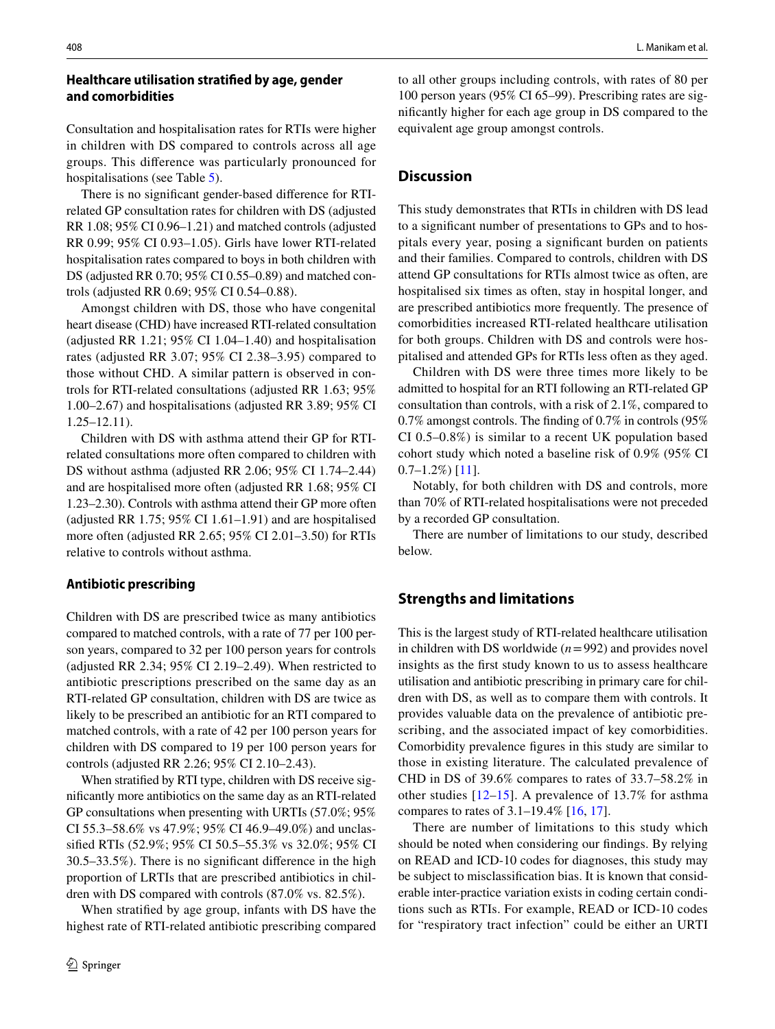# **Healthcare utilisation stratifed by age, gender and comorbidities**

Consultation and hospitalisation rates for RTIs were higher in children with DS compared to controls across all age groups. This diference was particularly pronounced for hospitalisations (see Table [5](#page-4-2)).

There is no signifcant gender-based diference for RTIrelated GP consultation rates for children with DS (adjusted RR 1.08; 95% CI 0.96–1.21) and matched controls (adjusted RR 0.99; 95% CI 0.93–1.05). Girls have lower RTI-related hospitalisation rates compared to boys in both children with DS (adjusted RR 0.70; 95% CI 0.55–0.89) and matched controls (adjusted RR 0.69; 95% CI 0.54–0.88).

Amongst children with DS, those who have congenital heart disease (CHD) have increased RTI-related consultation (adjusted RR 1.21; 95% CI 1.04–1.40) and hospitalisation rates (adjusted RR 3.07; 95% CI 2.38–3.95) compared to those without CHD. A similar pattern is observed in controls for RTI-related consultations (adjusted RR 1.63; 95% 1.00–2.67) and hospitalisations (adjusted RR 3.89; 95% CI 1.25–12.11).

Children with DS with asthma attend their GP for RTIrelated consultations more often compared to children with DS without asthma (adjusted RR 2.06; 95% CI 1.74–2.44) and are hospitalised more often (adjusted RR 1.68; 95% CI 1.23–2.30). Controls with asthma attend their GP more often (adjusted RR 1.75; 95% CI 1.61–1.91) and are hospitalised more often (adjusted RR 2.65; 95% CI 2.01–3.50) for RTIs relative to controls without asthma.

## **Antibiotic prescribing**

Children with DS are prescribed twice as many antibiotics compared to matched controls, with a rate of 77 per 100 person years, compared to 32 per 100 person years for controls (adjusted RR 2.34; 95% CI 2.19–2.49). When restricted to antibiotic prescriptions prescribed on the same day as an RTI-related GP consultation, children with DS are twice as likely to be prescribed an antibiotic for an RTI compared to matched controls, with a rate of 42 per 100 person years for children with DS compared to 19 per 100 person years for controls (adjusted RR 2.26; 95% CI 2.10–2.43).

When stratifed by RTI type, children with DS receive signifcantly more antibiotics on the same day as an RTI-related GP consultations when presenting with URTIs (57.0%; 95% CI 55.3–58.6% vs 47.9%; 95% CI 46.9–49.0%) and unclassifed RTIs (52.9%; 95% CI 50.5–55.3% vs 32.0%; 95% CI 30.5–33.5%). There is no signifcant diference in the high proportion of LRTIs that are prescribed antibiotics in children with DS compared with controls (87.0% vs. 82.5%).

When stratifed by age group, infants with DS have the highest rate of RTI-related antibiotic prescribing compared to all other groups including controls, with rates of 80 per 100 person years (95% CI 65–99). Prescribing rates are signifcantly higher for each age group in DS compared to the equivalent age group amongst controls.

# **Discussion**

This study demonstrates that RTIs in children with DS lead to a signifcant number of presentations to GPs and to hospitals every year, posing a signifcant burden on patients and their families. Compared to controls, children with DS attend GP consultations for RTIs almost twice as often, are hospitalised six times as often, stay in hospital longer, and are prescribed antibiotics more frequently. The presence of comorbidities increased RTI-related healthcare utilisation for both groups. Children with DS and controls were hospitalised and attended GPs for RTIs less often as they aged.

Children with DS were three times more likely to be admitted to hospital for an RTI following an RTI-related GP consultation than controls, with a risk of 2.1%, compared to 0.7% amongst controls. The fnding of 0.7% in controls (95% CI 0.5–0.8%) is similar to a recent UK population based cohort study which noted a baseline risk of 0.9% (95% CI  $0.7-1.2\%$ ) [\[11](#page-7-10)].

Notably, for both children with DS and controls, more than 70% of RTI-related hospitalisations were not preceded by a recorded GP consultation.

There are number of limitations to our study, described below.

# **Strengths and limitations**

This is the largest study of RTI-related healthcare utilisation in children with DS worldwide (*n*=992) and provides novel insights as the frst study known to us to assess healthcare utilisation and antibiotic prescribing in primary care for children with DS, as well as to compare them with controls. It provides valuable data on the prevalence of antibiotic prescribing, and the associated impact of key comorbidities. Comorbidity prevalence fgures in this study are similar to those in existing literature. The calculated prevalence of CHD in DS of 39.6% compares to rates of 33.7–58.2% in other studies [[12](#page-7-11)–[15\]](#page-7-12). A prevalence of 13.7% for asthma compares to rates of 3.1–19.4% [[16,](#page-7-13) [17\]](#page-7-14).

There are number of limitations to this study which should be noted when considering our fndings. By relying on READ and ICD-10 codes for diagnoses, this study may be subject to misclassifcation bias. It is known that considerable inter-practice variation exists in coding certain conditions such as RTIs. For example, READ or ICD-10 codes for "respiratory tract infection" could be either an URTI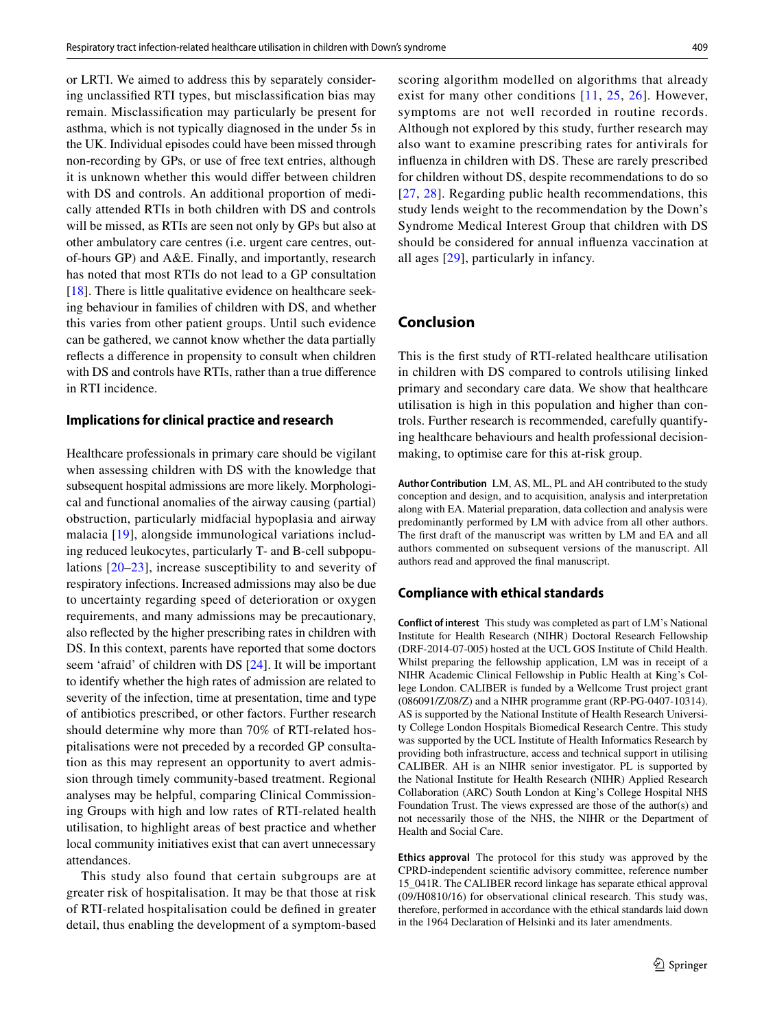or LRTI. We aimed to address this by separately considering unclassifed RTI types, but misclassifcation bias may remain. Misclassifcation may particularly be present for asthma, which is not typically diagnosed in the under 5s in the UK. Individual episodes could have been missed through non-recording by GPs, or use of free text entries, although it is unknown whether this would difer between children with DS and controls. An additional proportion of medically attended RTIs in both children with DS and controls will be missed, as RTIs are seen not only by GPs but also at other ambulatory care centres (i.e. urgent care centres, outof-hours GP) and A&E. Finally, and importantly, research has noted that most RTIs do not lead to a GP consultation  $[18]$ . There is little qualitative evidence on healthcare seeking behaviour in families of children with DS, and whether this varies from other patient groups. Until such evidence can be gathered, we cannot know whether the data partially refects a diference in propensity to consult when children with DS and controls have RTIs, rather than a true diference in RTI incidence.

#### **Implications for clinical practice and research**

Healthcare professionals in primary care should be vigilant when assessing children with DS with the knowledge that subsequent hospital admissions are more likely. Morphological and functional anomalies of the airway causing (partial) obstruction, particularly midfacial hypoplasia and airway malacia [\[19\]](#page-7-16), alongside immunological variations including reduced leukocytes, particularly T- and B-cell subpopulations [\[20–](#page-7-17)[23](#page-7-18)], increase susceptibility to and severity of respiratory infections. Increased admissions may also be due to uncertainty regarding speed of deterioration or oxygen requirements, and many admissions may be precautionary, also refected by the higher prescribing rates in children with DS. In this context, parents have reported that some doctors seem 'afraid' of children with DS [\[24](#page-7-19)]. It will be important to identify whether the high rates of admission are related to severity of the infection, time at presentation, time and type of antibiotics prescribed, or other factors. Further research should determine why more than 70% of RTI-related hospitalisations were not preceded by a recorded GP consultation as this may represent an opportunity to avert admission through timely community-based treatment. Regional analyses may be helpful, comparing Clinical Commissioning Groups with high and low rates of RTI-related health utilisation, to highlight areas of best practice and whether local community initiatives exist that can avert unnecessary attendances.

This study also found that certain subgroups are at greater risk of hospitalisation. It may be that those at risk of RTI-related hospitalisation could be defned in greater detail, thus enabling the development of a symptom-based scoring algorithm modelled on algorithms that already exist for many other conditions [[11](#page-7-10), [25](#page-7-20), [26](#page-7-21)]. However, symptoms are not well recorded in routine records. Although not explored by this study, further research may also want to examine prescribing rates for antivirals for infuenza in children with DS. These are rarely prescribed for children without DS, despite recommendations to do so [[27](#page-7-22), [28](#page-7-23)]. Regarding public health recommendations, this study lends weight to the recommendation by the Down's Syndrome Medical Interest Group that children with DS should be considered for annual infuenza vaccination at all ages [[29](#page-7-24)], particularly in infancy.

# **Conclusion**

This is the frst study of RTI-related healthcare utilisation in children with DS compared to controls utilising linked primary and secondary care data. We show that healthcare utilisation is high in this population and higher than controls. Further research is recommended, carefully quantifying healthcare behaviours and health professional decisionmaking, to optimise care for this at-risk group.

**Author Contribution** LM, AS, ML, PL and AH contributed to the study conception and design, and to acquisition, analysis and interpretation along with EA. Material preparation, data collection and analysis were predominantly performed by LM with advice from all other authors. The frst draft of the manuscript was written by LM and EA and all authors commented on subsequent versions of the manuscript. All authors read and approved the fnal manuscript.

#### **Compliance with ethical standards**

**Conflict of interest** This study was completed as part of LM's National Institute for Health Research (NIHR) Doctoral Research Fellowship (DRF-2014-07-005) hosted at the UCL GOS Institute of Child Health. Whilst preparing the fellowship application, LM was in receipt of a NIHR Academic Clinical Fellowship in Public Health at King's College London. CALIBER is funded by a Wellcome Trust project grant (086091/Z/08/Z) and a NIHR programme grant (RP-PG-0407-10314). AS is supported by the National Institute of Health Research University College London Hospitals Biomedical Research Centre. This study was supported by the UCL Institute of Health Informatics Research by providing both infrastructure, access and technical support in utilising CALIBER. AH is an NIHR senior investigator. PL is supported by the National Institute for Health Research (NIHR) Applied Research Collaboration (ARC) South London at King's College Hospital NHS Foundation Trust. The views expressed are those of the author(s) and not necessarily those of the NHS, the NIHR or the Department of Health and Social Care.

**Ethics approval** The protocol for this study was approved by the CPRD-independent scientifc advisory committee, reference number 15\_041R. The CALIBER record linkage has separate ethical approval (09/H0810/16) for observational clinical research. This study was, therefore, performed in accordance with the ethical standards laid down in the 1964 Declaration of Helsinki and its later amendments.